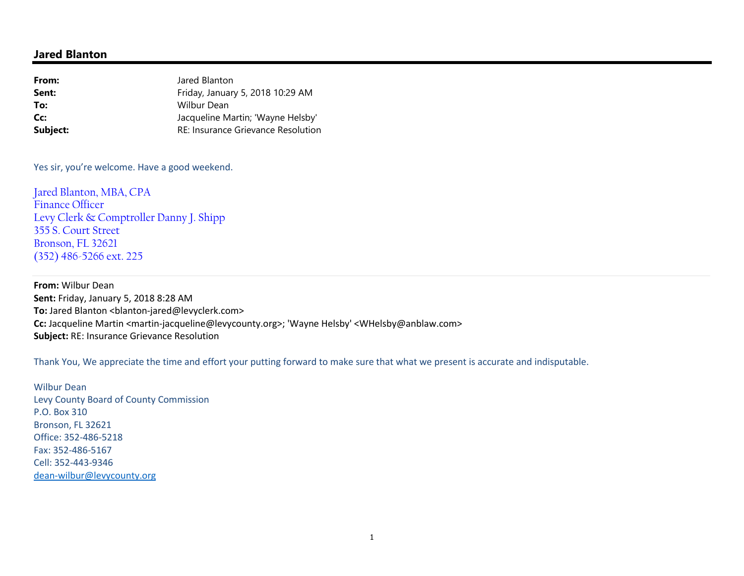## **Jared Blanton**

| Jared Blanton                             |
|-------------------------------------------|
| Friday, January 5, 2018 10:29 AM          |
| Wilbur Dean                               |
| Jacqueline Martin; 'Wayne Helsby'         |
| <b>RE: Insurance Grievance Resolution</b> |
|                                           |

Yes sir, you're welcome. Have a good weekend.

Jared Blanton, MBA, CPA Finance Officer Levy Clerk & Comptroller Danny J. Shipp 355 S. Court Street Bronson, FL 32621 (352) 486-5266 ext. 225

**From:** Wilbur Dean **Sent:** Friday, January 5, 2018 8:28 AM **To:** Jared Blanton <blanton-jared@levyclerk.com> **Cc:** Jacqueline Martin <martin-jacqueline@levycounty.org>; 'Wayne Helsby' <WHelsby@anblaw.com> **Subject:** RE: Insurance Grievance Resolution

Thank You, We appreciate the time and effort your putting forward to make sure that what we present is accurate and indisputable.

Wilbur Dean Levy County Board of County Commission P.O. Box 310 Bronson, FL 32621 Office: 352-486-5218 Fax: 352-486-5167 Cell: 352-443-9346 dean-wilbur@levycounty.org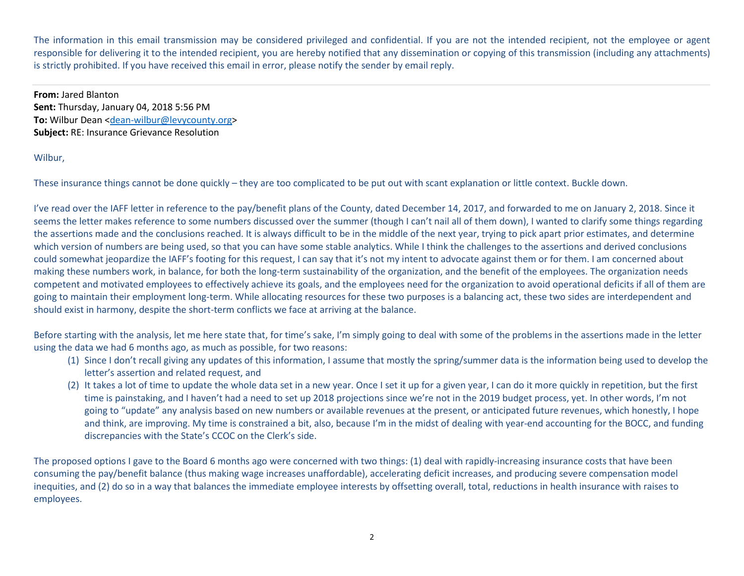The information in this email transmission may be considered privileged and confidential. If you are not the intended recipient, not the employee or agent responsible for delivering it to the intended recipient, you are hereby notified that any dissemination or copying of this transmission (including any attachments) is strictly prohibited. If you have received this email in error, please notify the sender by email reply.

**From:** Jared Blanton **Sent:** Thursday, January 04, 2018 5:56 PM **To:** Wilbur Dean <dean-wilbur@levycounty.org> **Subject:** RE: Insurance Grievance Resolution

## Wilbur,

These insurance things cannot be done quickly – they are too complicated to be put out with scant explanation or little context. Buckle down.

I've read over the IAFF letter in reference to the pay/benefit plans of the County, dated December 14, 2017, and forwarded to me on January 2, 2018. Since it seems the letter makes reference to some numbers discussed over the summer (though I can't nail all of them down), I wanted to clarify some things regarding the assertions made and the conclusions reached. It is always difficult to be in the middle of the next year, trying to pick apart prior estimates, and determine which version of numbers are being used, so that you can have some stable analytics. While I think the challenges to the assertions and derived conclusions could somewhat jeopardize the IAFF's footing for this request, I can say that it's not my intent to advocate against them or for them. I am concerned about making these numbers work, in balance, for both the long-term sustainability of the organization, and the benefit of the employees. The organization needs competent and motivated employees to effectively achieve its goals, and the employees need for the organization to avoid operational deficits if all of them are going to maintain their employment long-term. While allocating resources for these two purposes is a balancing act, these two sides are interdependent and should exist in harmony, despite the short-term conflicts we face at arriving at the balance.

Before starting with the analysis, let me here state that, for time's sake, I'm simply going to deal with some of the problems in the assertions made in the letter using the data we had 6 months ago, as much as possible, for two reasons:

- (1) Since I don't recall giving any updates of this information, I assume that mostly the spring/summer data is the information being used to develop the letter's assertion and related request, and
- (2) It takes a lot of time to update the whole data set in a new year. Once I set it up for a given year, I can do it more quickly in repetition, but the first time is painstaking, and I haven't had a need to set up 2018 projections since we're not in the 2019 budget process, yet. In other words, I'm not going to "update" any analysis based on new numbers or available revenues at the present, or anticipated future revenues, which honestly, I hope and think, are improving. My time is constrained a bit, also, because I'm in the midst of dealing with year-end accounting for the BOCC, and funding discrepancies with the State's CCOC on the Clerk's side.

The proposed options I gave to the Board 6 months ago were concerned with two things: (1) deal with rapidly-increasing insurance costs that have been consuming the pay/benefit balance (thus making wage increases unaffordable), accelerating deficit increases, and producing severe compensation model inequities, and (2) do so in a way that balances the immediate employee interests by offsetting overall, total, reductions in health insurance with raises to employees.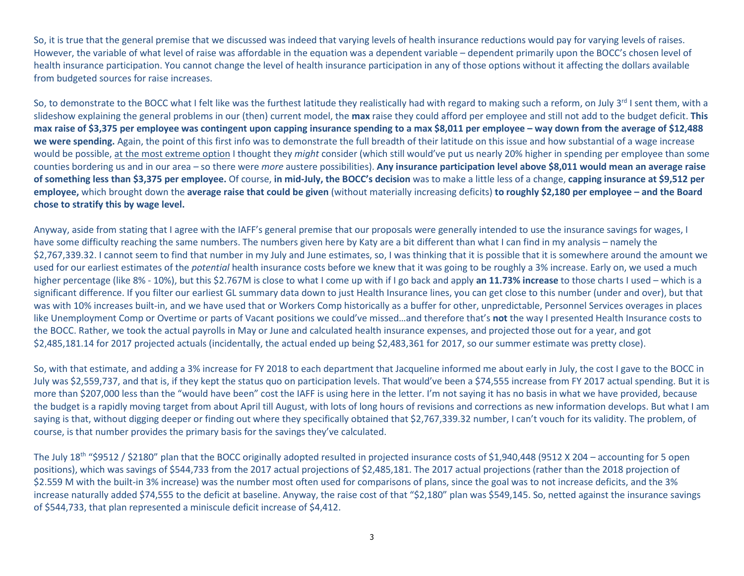So, it is true that the general premise that we discussed was indeed that varying levels of health insurance reductions would pay for varying levels of raises. However, the variable of what level of raise was affordable in the equation was a dependent variable – dependent primarily upon the BOCC's chosen level of health insurance participation. You cannot change the level of health insurance participation in any of those options without it affecting the dollars available from budgeted sources for raise increases.

So, to demonstrate to the BOCC what I felt like was the furthest latitude they realistically had with regard to making such a reform, on July 3<sup>rd</sup> I sent them, with a slideshow explaining the general problems in our (then) current model, the **max** raise they could afford per employee and still not add to the budget deficit. **This max raise of \$3,375 per employee was contingent upon capping insurance spending to a max \$8,011 per employee – way down from the average of \$12,488 we were spending.** Again, the point of this first info was to demonstrate the full breadth of their latitude on this issue and how substantial of a wage increase would be possible, at the most extreme option I thought they *might* consider (which still would've put us nearly 20% higher in spending per employee than some counties bordering us and in our area – so there were *more* austere possibilities). **Any insurance participation level above \$8,011 would mean an average raise of something less than \$3,375 per employee.** Of course, **in mid-July, the BOCC's decision** was to make a little less of a change, **capping insurance at \$9,512 per employee,** which brought down the **average raise that could be given** (without materially increasing deficits) **to roughly \$2,180 per employee – and the Board chose to stratify this by wage level.** 

Anyway, aside from stating that I agree with the IAFF's general premise that our proposals were generally intended to use the insurance savings for wages, I have some difficulty reaching the same numbers. The numbers given here by Katy are a bit different than what I can find in my analysis – namely the \$2,767,339.32. I cannot seem to find that number in my July and June estimates, so, I was thinking that it is possible that it is somewhere around the amount we used for our earliest estimates of the *potential* health insurance costs before we knew that it was going to be roughly a 3% increase. Early on, we used a much higher percentage (like 8% - 10%), but this \$2.767M is close to what I come up with if I go back and apply **an 11.73% increase** to those charts I used – which is a significant difference. If you filter our earliest GL summary data down to just Health Insurance lines, you can get close to this number (under and over), but that was with 10% increases built-in, and we have used that or Workers Comp historically as a buffer for other, unpredictable, Personnel Services overages in places like Unemployment Comp or Overtime or parts of Vacant positions we could've missed…and therefore that's **not** the way I presented Health Insurance costs to the BOCC. Rather, we took the actual payrolls in May or June and calculated health insurance expenses, and projected those out for a year, and got \$2,485,181.14 for 2017 projected actuals (incidentally, the actual ended up being \$2,483,361 for 2017, so our summer estimate was pretty close).

So, with that estimate, and adding a 3% increase for FY 2018 to each department that Jacqueline informed me about early in July, the cost I gave to the BOCC in July was \$2,559,737, and that is, if they kept the status quo on participation levels. That would've been a \$74,555 increase from FY 2017 actual spending. But it is more than \$207,000 less than the "would have been" cost the IAFF is using here in the letter. I'm not saying it has no basis in what we have provided, because the budget is a rapidly moving target from about April till August, with lots of long hours of revisions and corrections as new information develops. But what I am saying is that, without digging deeper or finding out where they specifically obtained that \$2,767,339.32 number, I can't vouch for its validity. The problem, of course, is that number provides the primary basis for the savings they've calculated.

The July 18<sup>th</sup> "\$9512 / \$2180" plan that the BOCC originally adopted resulted in projected insurance costs of \$1,940,448 (9512 X 204 – accounting for 5 open positions), which was savings of \$544,733 from the 2017 actual projections of \$2,485,181. The 2017 actual projections (rather than the 2018 projection of\$2.559 M with the built-in 3% increase) was the number most often used for comparisons of plans, since the goal was to not increase deficits, and the 3% increase naturally added \$74,555 to the deficit at baseline. Anyway, the raise cost of that "\$2,180" plan was \$549,145. So, netted against the insurance savings of \$544,733, that plan represented a miniscule deficit increase of \$4,412.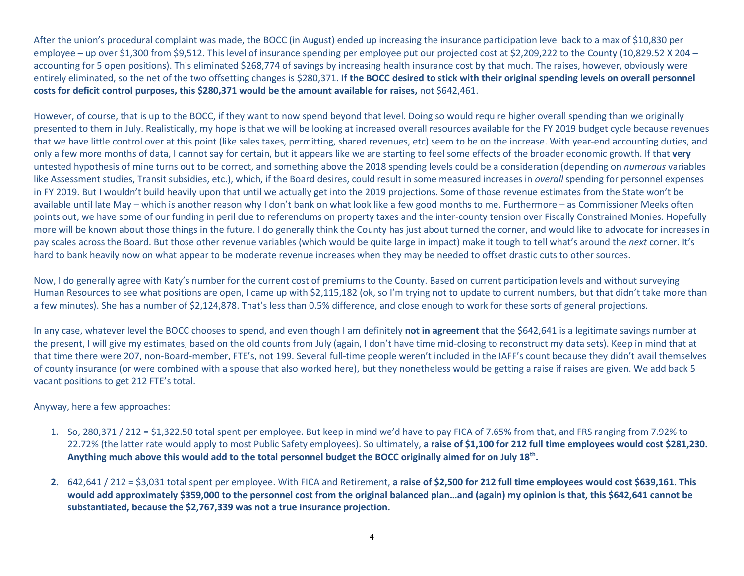After the union's procedural complaint was made, the BOCC (in August) ended up increasing the insurance participation level back to a max of \$10,830 per employee – up over \$1,300 from \$9,512. This level of insurance spending per employee put our projected cost at \$2,209,222 to the County (10,829.52 X 204 – accounting for 5 open positions). This eliminated \$268,774 of savings by increasing health insurance cost by that much. The raises, however, obviously were entirely eliminated, so the net of the two offsetting changes is \$280,371. **If the BOCC desired to stick with their original spending levels on overall personnel costs for deficit control purposes, this \$280,371 would be the amount available for raises,** not \$642,461.

However, of course, that is up to the BOCC, if they want to now spend beyond that level. Doing so would require higher overall spending than we originally presented to them in July. Realistically, my hope is that we will be looking at increased overall resources available for the FY 2019 budget cycle because revenues that we have little control over at this point (like sales taxes, permitting, shared revenues, etc) seem to be on the increase. With year-end accounting duties, and only a few more months of data, I cannot say for certain, but it appears like we are starting to feel some effects of the broader economic growth. If that **very** untested hypothesis of mine turns out to be correct, and something above the 2018 spending levels could be a consideration (depending on *numerous* variables like Assessment studies, Transit subsidies, etc.), which, if the Board desires, could result in some measured increases in *overall* spending for personnel expenses in FY 2019. But I wouldn't build heavily upon that until we actually get into the 2019 projections. Some of those revenue estimates from the State won't be available until late May – which is another reason why I don't bank on what look like a few good months to me. Furthermore – as Commissioner Meeks often points out, we have some of our funding in peril due to referendums on property taxes and the inter-county tension over Fiscally Constrained Monies. Hopefully more will be known about those things in the future. I do generally think the County has just about turned the corner, and would like to advocate for increases in pay scales across the Board. But those other revenue variables (which would be quite large in impact) make it tough to tell what's around the *next* corner. It's hard to bank heavily now on what appear to be moderate revenue increases when they may be needed to offset drastic cuts to other sources.

Now, I do generally agree with Katy's number for the current cost of premiums to the County. Based on current participation levels and without surveying Human Resources to see what positions are open, I came up with \$2,115,182 (ok, so I'm trying not to update to current numbers, but that didn't take more than a few minutes). She has a number of \$2,124,878. That's less than 0.5% difference, and close enough to work for these sorts of general projections.

In any case, whatever level the BOCC chooses to spend, and even though I am definitely **not in agreement** that the \$642,641 is a legitimate savings number at the present, I will give my estimates, based on the old counts from July (again, I don't have time mid-closing to reconstruct my data sets). Keep in mind that at that time there were 207, non-Board-member, FTE's, not 199. Several full-time people weren't included in the IAFF's count because they didn't avail themselves of county insurance (or were combined with a spouse that also worked here), but they nonetheless would be getting a raise if raises are given. We add back 5 vacant positions to get 212 FTE's total.

Anyway, here a few approaches:

- 1. So, 280,371 / 212 = \$1,322.50 total spent per employee. But keep in mind we'd have to pay FICA of 7.65% from that, and FRS ranging from 7.92% to 22.72% (the latter rate would apply to most Public Safety employees). So ultimately, **a raise of \$1,100 for 212 full time employees would cost \$281,230. Anything much above this would add to the total personnel budget the BOCC originally aimed for on July 18th.**
- **2.** 642,641 / 212 = \$3,031 total spent per employee. With FICA and Retirement, **a raise of \$2,500 for 212 full time employees would cost \$639,161. This would add approximately \$359,000 to the personnel cost from the original balanced plan…and (again) my opinion is that, this \$642,641 cannot be substantiated, because the \$2,767,339 was not a true insurance projection.**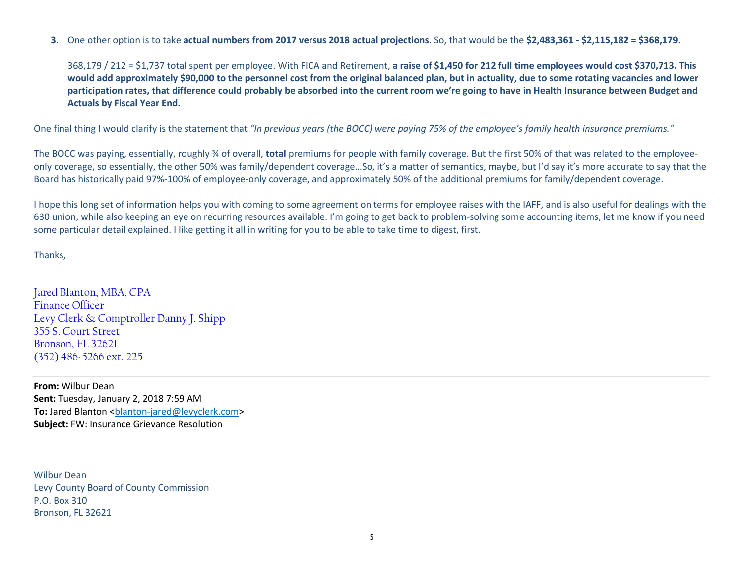**3.** One other option is to take **actual numbers from 2017 versus 2018 actual projections.** So, that would be the **\$2,483,361 - \$2,115,182 = \$368,179.** 

368,179 / 212 = \$1,737 total spent per employee. With FICA and Retirement, **a raise of \$1,450 for 212 full time employees would cost \$370,713. This would add approximately \$90,000 to the personnel cost from the original balanced plan, but in actuality, due to some rotating vacancies and lower participation rates, that difference could probably be absorbed into the current room we're going to have in Health Insurance between Budget and Actuals by Fiscal Year End.** 

One final thing I would clarify is the statement that *"In previous years (the BOCC) were paying 75% of the employee's family health insurance premiums."* 

The BOCC was paying, essentially, roughly ¾ of overall, **total** premiums for people with family coverage. But the first 50% of that was related to the employeeonly coverage, so essentially, the other 50% was family/dependent coverage…So, it's a matter of semantics, maybe, but I'd say it's more accurate to say that the Board has historically paid 97%-100% of employee-only coverage, and approximately 50% of the additional premiums for family/dependent coverage.

I hope this long set of information helps you with coming to some agreement on terms for employee raises with the IAFF, and is also useful for dealings with the 630 union, while also keeping an eye on recurring resources available. I'm going to get back to problem-solving some accounting items, let me know if you need some particular detail explained. I like getting it all in writing for you to be able to take time to digest, first.

Thanks,

Jared Blanton, MBA, CPA Finance Officer Levy Clerk & Comptroller Danny J. Shipp 355 S. Court Street Bronson, FL 32621 (352) 486-5266 ext. 225

**From:** Wilbur Dean **Sent:** Tuesday, January 2, 2018 7:59 AM To: Jared Blanton <br />
clanton-jared@levyclerk.com> **Subject:** FW: Insurance Grievance Resolution

Wilbur Dean Levy County Board of County Commission P.O. Box 310 Bronson, FL 32621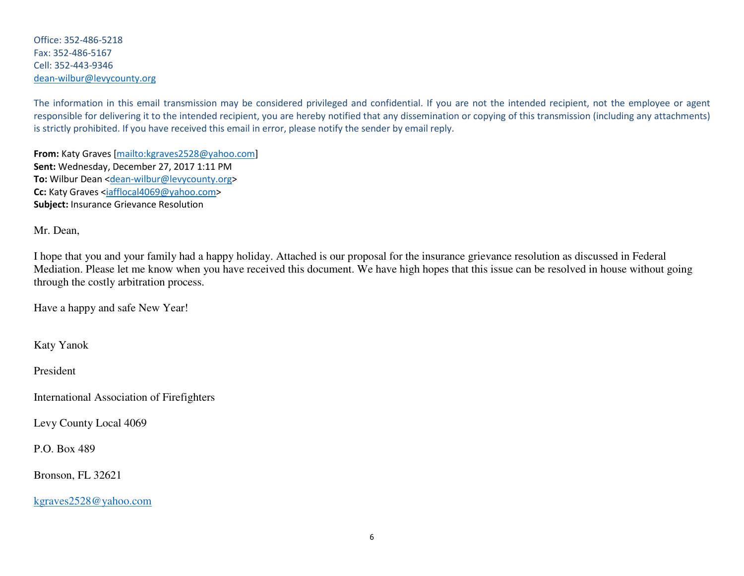Office: 352-486-5218 Fax: 352-486-5167 Cell: 352-443-9346 dean-wilbur@levycounty.org

The information in this email transmission may be considered privileged and confidential. If you are not the intended recipient, not the employee or agent responsible for delivering it to the intended recipient, you are hereby notified that any dissemination or copying of this transmission (including any attachments) is strictly prohibited. If you have received this email in error, please notify the sender by email reply.

**From:** Katy Graves [mailto:kgraves2528@yahoo.com] **Sent:** Wednesday, December 27, 2017 1:11 PM **To:** Wilbur Dean <dean-wilbur@levycounty.org> **Cc:** Katy Graves <iafflocal4069@yahoo.com> **Subject:** Insurance Grievance Resolution

Mr. Dean,

I hope that you and your family had a happy holiday. Attached is our proposal for the insurance grievance resolution as discussed in Federal Mediation. Please let me know when you have received this document. We have high hopes that this issue can be resolved in house without going through the costly arbitration process.

Have a happy and safe New Year!

Katy Yanok

President

International Association of Firefighters

Levy County Local 4069

P.O. Box 489

Bronson, FL 32621

kgraves2528@yahoo.com